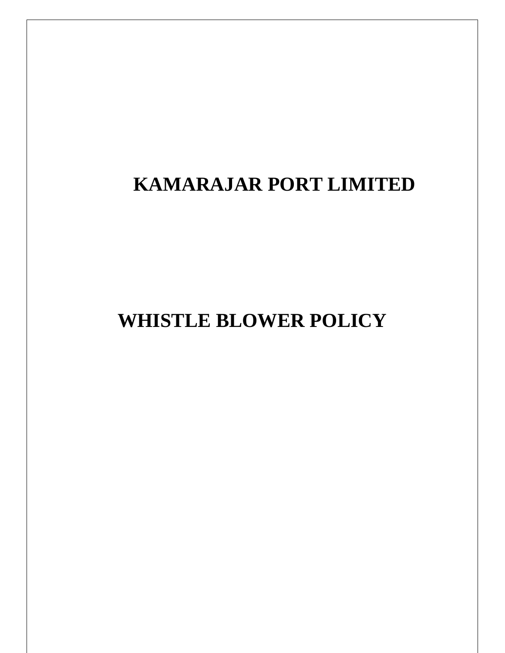# **KAMARAJAR PORT LIMITED**

**WHISTLE BLOWER POLICY**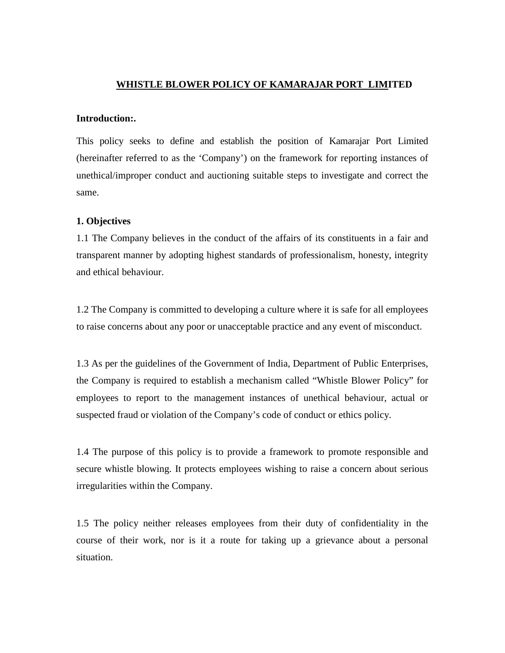## **WHISTLE BLOWER POLICY OF KAMARAJAR PORT LIMITED**

#### **Introduction:.**

This policy seeks to define and establish the position of Kamarajar Port Limited (hereinafter referred to as the 'Company') on the framework for reporting instances of unethical/improper conduct and auctioning suitable steps to investigate and correct the same.

#### **1. Objectives**

1.1 The Company believes in the conduct of the affairs of its constituents in a fair and transparent manner by adopting highest standards of professionalism, honesty, integrity and ethical behaviour.

1.2 The Company is committed to developing a culture where it is safe for all employees to raise concerns about any poor or unacceptable practice and any event of misconduct.

1.3 As per the guidelines of the Government of India, Department of Public Enterprises, the Company is required to establish a mechanism called "Whistle Blower Policy" for employees to report to the management instances of unethical behaviour, actual or suspected fraud or violation of the Company's code of conduct or ethics policy.

1.4 The purpose of this policy is to provide a framework to promote responsible and secure whistle blowing. It protects employees wishing to raise a concern about serious irregularities within the Company.

1.5 The policy neither releases employees from their duty of confidentiality in the course of their work, nor is it a route for taking up a grievance about a personal situation.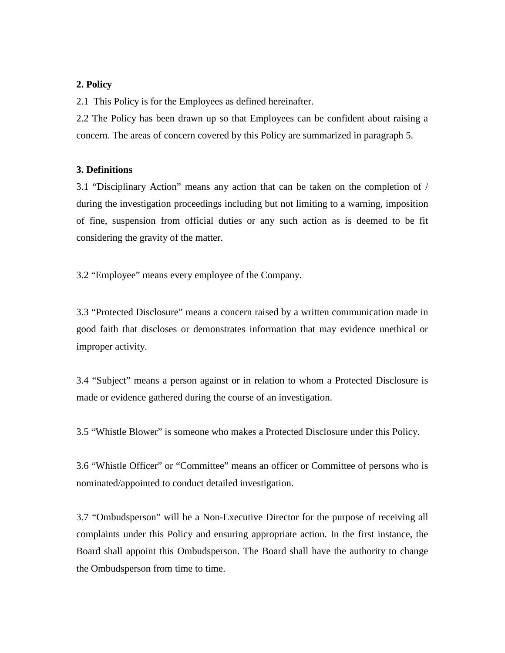## **2. Policy**

2.1 This Policy is for the Employees as defined hereinafter.

2.2 The Policy has been drawn up so that Employees can be confident about raising a concern. The areas of concern covered by this Policy are summarized in paragraph 5.

## **3. Definitions**

3.1 "Disciplinary Action" means any action that can be taken on the completion of / during the investigation proceedings including but not limiting to a warning, imposition of fine, suspension from official duties or any such action as is deemed to be fit considering the gravity of the matter.

3.2 "Employee" means every employee of the Company.

3.3 "Protected Disclosure" means a concern raised by a written communication made in good faith that discloses or demonstrates information that may evidence unethical or improper activity.

3.4 "Subject" means a person against or in relation to whom a Protected Disclosure is made or evidence gathered during the course of an investigation.

3.5 "Whistle Blower" is someone who makes a Protected Disclosure under this Policy.

3.6 "Whistle Officer" or "Committee" means an officer or Committee of persons who is nominated/appointed to conduct detailed investigation.

3.7 "Ombudsperson" will be a Non-Executive Director for the purpose of receiving all complaints under this Policy and ensuring appropriate action. In the first instance, the Board shall appoint this Ombudsperson. The Board shall have the authority to change the Ombudsperson from time to time.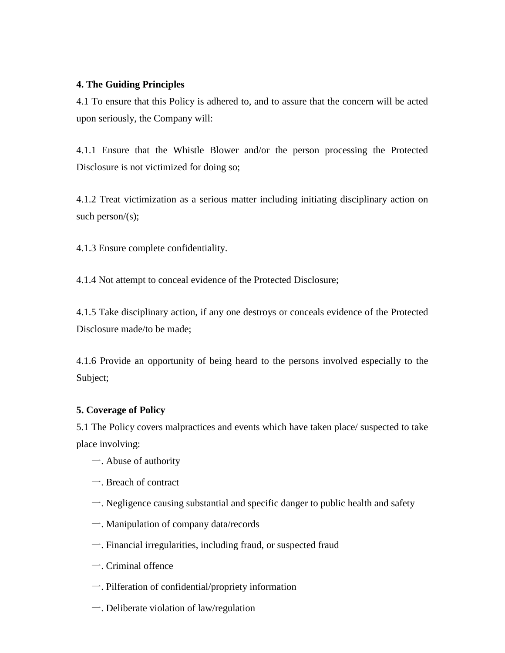## **4. The Guiding Principles**

4.1 To ensure that this Policy is adhered to, and to assure that the concern will be acted upon seriously, the Company will:

4.1.1 Ensure that the Whistle Blower and/or the person processing the Protected Disclosure is not victimized for doing so;

4.1.2 Treat victimization as a serious matter including initiating disciplinary action on such person/ $(s)$ ;

4.1.3 Ensure complete confidentiality.

4.1.4 Not attempt to conceal evidence of the Protected Disclosure;

4.1.5 Take disciplinary action, if any one destroys or conceals evidence of the Protected Disclosure made/to be made;

4.1.6 Provide an opportunity of being heard to the persons involved especially to the Subject;

## **5. Coverage of Policy**

5.1 The Policy covers malpractices and events which have taken place/ suspected to take place involving:

- 一. Abuse of authority
- 一. Breach of contract
- 一. Negligence causing substantial and specific danger to public health and safety
- 一. Manipulation of company data/records
- 一. Financial irregularities, including fraud, or suspected fraud
- 一. Criminal offence
- 一. Pilferation of confidential/propriety information
- 一. Deliberate violation of law/regulation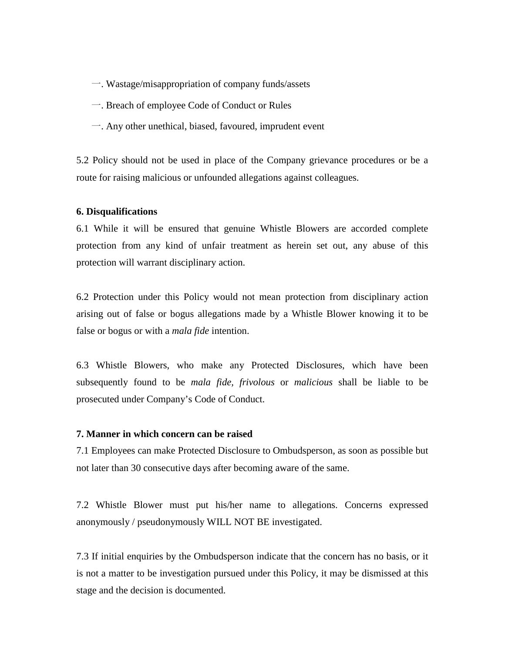- 一. Wastage/misappropriation of company funds/assets
- 一. Breach of employee Code of Conduct or Rules
- 一. Any other unethical, biased, favoured, imprudent event

5.2 Policy should not be used in place of the Company grievance procedures or be a route for raising malicious or unfounded allegations against colleagues.

#### **6. Disqualifications**

6.1 While it will be ensured that genuine Whistle Blowers are accorded complete protection from any kind of unfair treatment as herein set out, any abuse of this protection will warrant disciplinary action.

6.2 Protection under this Policy would not mean protection from disciplinary action arising out of false or bogus allegations made by a Whistle Blower knowing it to be false or bogus or with a *mala fide* intention.

6.3 Whistle Blowers, who make any Protected Disclosures, which have been subsequently found to be *mala fide, frivolous* or *malicious* shall be liable to be prosecuted under Company's Code of Conduct.

#### **7. Manner in which concern can be raised**

7.1 Employees can make Protected Disclosure to Ombudsperson, as soon as possible but not later than 30 consecutive days after becoming aware of the same.

7.2 Whistle Blower must put his/her name to allegations. Concerns expressed anonymously / pseudonymously WILL NOT BE investigated.

7.3 If initial enquiries by the Ombudsperson indicate that the concern has no basis, or it is not a matter to be investigation pursued under this Policy, it may be dismissed at this stage and the decision is documented.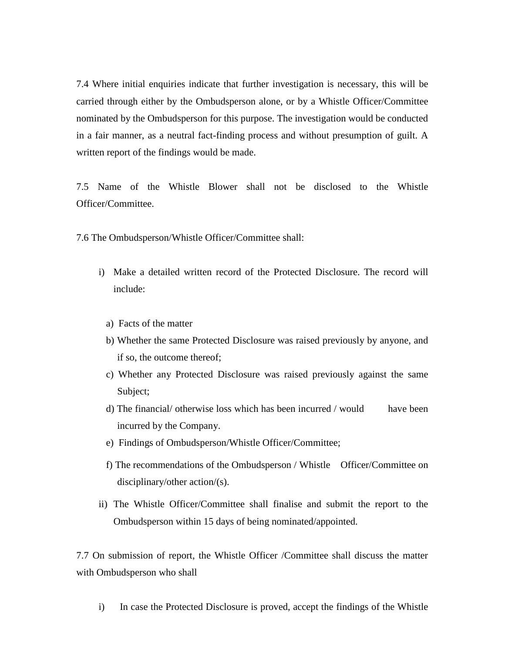7.4 Where initial enquiries indicate that further investigation is necessary, this will be carried through either by the Ombudsperson alone, or by a Whistle Officer/Committee nominated by the Ombudsperson for this purpose. The investigation would be conducted in a fair manner, as a neutral fact-finding process and without presumption of guilt. A written report of the findings would be made.

7.5 Name of the Whistle Blower shall not be disclosed to the Whistle Officer/Committee.

7.6 The Ombudsperson/Whistle Officer/Committee shall:

- i) Make a detailed written record of the Protected Disclosure. The record will include:
	- a) Facts of the matter
	- b) Whether the same Protected Disclosure was raised previously by anyone, and if so, the outcome thereof;
	- c) Whether any Protected Disclosure was raised previously against the same Subject;
	- d) The financial/ otherwise loss which has been incurred / would have been incurred by the Company.
	- e) Findings of Ombudsperson/Whistle Officer/Committee;
	- f) The recommendations of the Ombudsperson / Whistle Officer/Committee on disciplinary/other action/(s).
- ii) The Whistle Officer/Committee shall finalise and submit the report to the Ombudsperson within 15 days of being nominated/appointed.

7.7 On submission of report, the Whistle Officer /Committee shall discuss the matter with Ombudsperson who shall

i) In case the Protected Disclosure is proved, accept the findings of the Whistle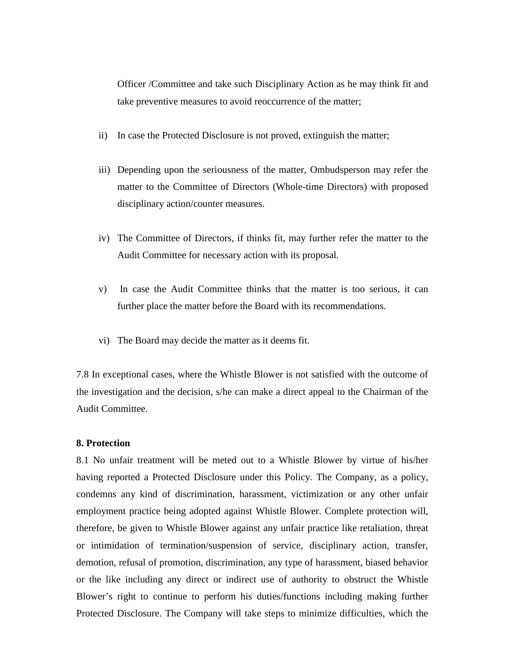Officer /Committee and take such Disciplinary Action as he may think fit and take preventive measures to avoid reoccurrence of the matter;

- ii) In case the Protected Disclosure is not proved, extinguish the matter;
- iii) Depending upon the seriousness of the matter, Ombudsperson may refer the matter to the Committee of Directors (Whole-time Directors) with proposed disciplinary action/counter measures.
- iv) The Committee of Directors, if thinks fit, may further refer the matter to the Audit Committee for necessary action with its proposal.
- v) In case the Audit Committee thinks that the matter is too serious, it can further place the matter before the Board with its recommendations.
- vi) The Board may decide the matter as it deems fit.

7.8 In exceptional cases, where the Whistle Blower is not satisfied with the outcome of the investigation and the decision, s/he can make a direct appeal to the Chairman of the Audit Committee.

## **8. Protection**

8.1 No unfair treatment will be meted out to a Whistle Blower by virtue of his/her having reported a Protected Disclosure under this Policy. The Company, as a policy, condemns any kind of discrimination, harassment, victimization or any other unfair employment practice being adopted against Whistle Blower. Complete protection will, therefore, be given to Whistle Blower against any unfair practice like retaliation, threat or intimidation of termination/suspension of service, disciplinary action, transfer, demotion, refusal of promotion, discrimination, any type of harassment, biased behavior or the like including any direct or indirect use of authority to obstruct the Whistle Blower's right to continue to perform his duties/functions including making further Protected Disclosure. The Company will take steps to minimize difficulties, which the